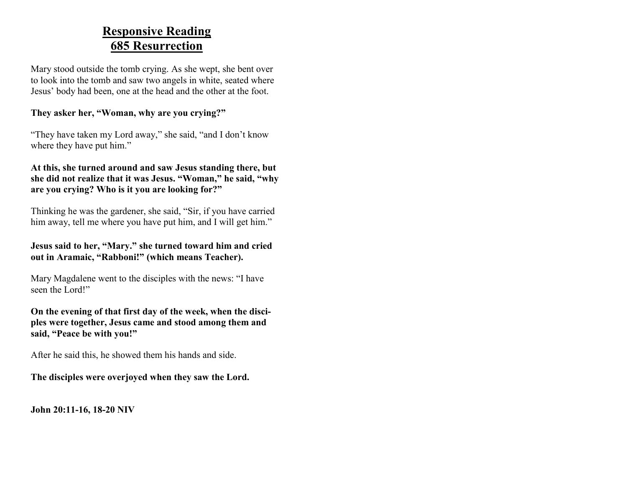### **Responsive Reading 685 Resurrection**

Mary stood outside the tomb crying. As she wept, she bent over to look into the tomb and saw two angels in white, seated where Jesus' body had been, one at the head and the other at the foot.

### **They asker her, "Woman, why are you crying?"**

"They have taken my Lord away," she said, "and I don't know where they have put him."

### **At this, she turned around and saw Jesus standing there, but she did not realize that it was Jesus. "Woman," he said, "why are you crying? Who is it you are looking for?"**

Thinking he was the gardener, she said, "Sir, if you have carried him away, tell me where you have put him, and I will get him."

### **Jesus said to her, "Mary." she turned toward him and cried out in Aramaic, "Rabboni!" (which means Teacher).**

Mary Magdalene went to the disciples with the news: "I have seen the Lord!"

### **On the evening of that first day of the week, when the disciples were together, Jesus came and stood among them and said, "Peace be with you!"**

After he said this, he showed them his hands and side.

### **The disciples were overjoyed when they saw the Lord.**

**John 20:11-16, 18-20 NIV**